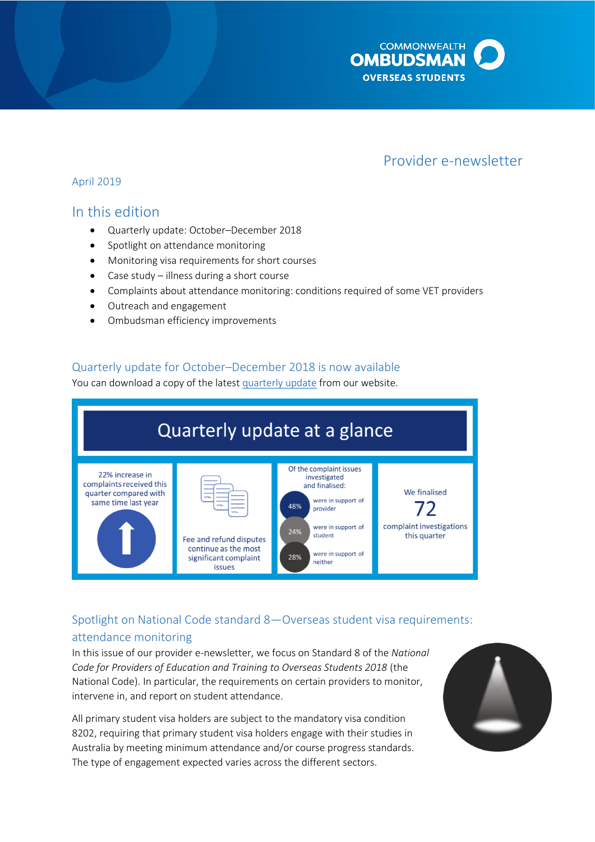

# Provider e-newsletter

### April 2019

## In this edition

- Quarterly update: October–December 2018
- Spotlight on attendance monitoring
- Monitoring visa requirements for short courses
- Case study illness during a short course
- Complaints about attendance monitoring: conditions required of some VET providers
- Outreach and engagement
- Ombudsman efficiency improvements

## Quarterly update for October–December 2018 is now available

You can download a copy of the lates[t quarterly update](http://www.ombudsman.gov.au/publications/industry/oso-quarterly-reports) from our website.



## Spotlight on National Code standard 8—Overseas student visa requirements: attendance monitoring

In this issue of our provider e-newsletter, we focus on Standard 8 of the *National Code for Providers of Education and Training to Overseas Students 2018* (the National Code). In particular, the requirements on certain providers to monitor, intervene in, and report on student attendance.

All primary student visa holders are subject to the mandatory visa condition 8202, requiring that primary student visa holders engage with their studies in Australia by meeting minimum attendance and/or course progress standards. The type of engagement expected varies across the different sectors.

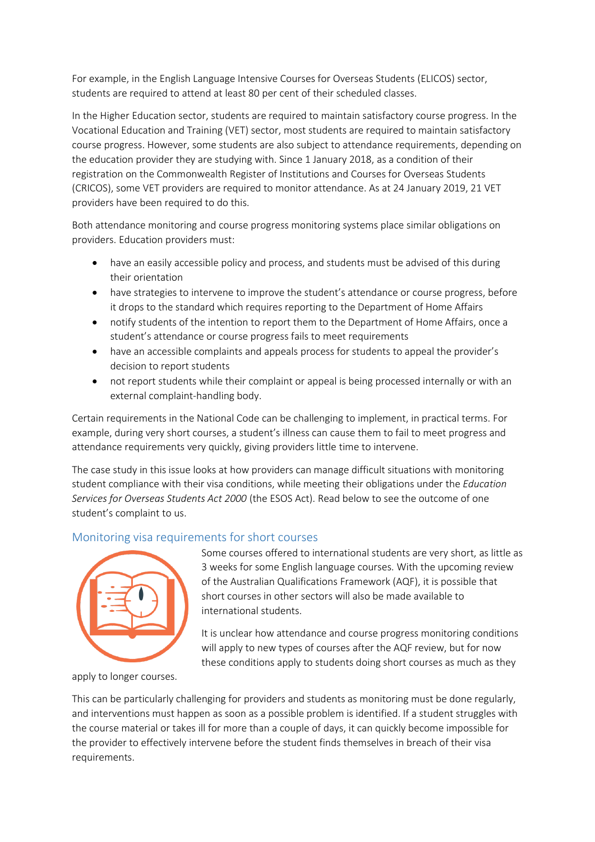For example, in the English Language Intensive Courses for Overseas Students (ELICOS) sector, students are required to attend at least 80 per cent of their scheduled classes.

In the Higher Education sector, students are required to maintain satisfactory course progress. In the Vocational Education and Training (VET) sector, most students are required to maintain satisfactory course progress. However, some students are also subject to attendance requirements, depending on the education provider they are studying with. Since 1 January 2018, as a condition of their registration on the Commonwealth Register of Institutions and Courses for Overseas Students (CRICOS), some VET providers are required to monitor attendance. As at 24 January 2019, 21 VET providers have been required to do this.

Both attendance monitoring and course progress monitoring systems place similar obligations on providers. Education providers must:

- have an easily accessible policy and process, and students must be advised of this during their orientation
- have strategies to intervene to improve the student's attendance or course progress, before it drops to the standard which requires reporting to the Department of Home Affairs
- notify students of the intention to report them to the Department of Home Affairs, once a student's attendance or course progress fails to meet requirements
- have an accessible complaints and appeals process for students to appeal the provider's decision to report students
- not report students while their complaint or appeal is being processed internally or with an external complaint-handling body.

Certain requirements in the National Code can be challenging to implement, in practical terms. For example, during very short courses, a student's illness can cause them to fail to meet progress and attendance requirements very quickly, giving providers little time to intervene.

The case study in this issue looks at how providers can manage difficult situations with monitoring student compliance with their visa conditions, while meeting their obligations under the *Education Services for Overseas Students Act 2000* (the ESOS Act). Read below to see the outcome of one student's complaint to us.

## Monitoring visa requirements for short courses



Some courses offered to international students are very short, as little as 3 weeks for some English language courses. With the upcoming review of the Australian Qualifications Framework (AQF), it is possible that short courses in other sectors will also be made available to international students.

It is unclear how attendance and course progress monitoring conditions will apply to new types of courses after the AQF review, but for now these conditions apply to students doing short courses as much as they

apply to longer courses.

This can be particularly challenging for providers and students as monitoring must be done regularly, and interventions must happen as soon as a possible problem is identified. If a student struggles with the course material or takes ill for more than a couple of days, it can quickly become impossible for the provider to effectively intervene before the student finds themselves in breach of their visa requirements.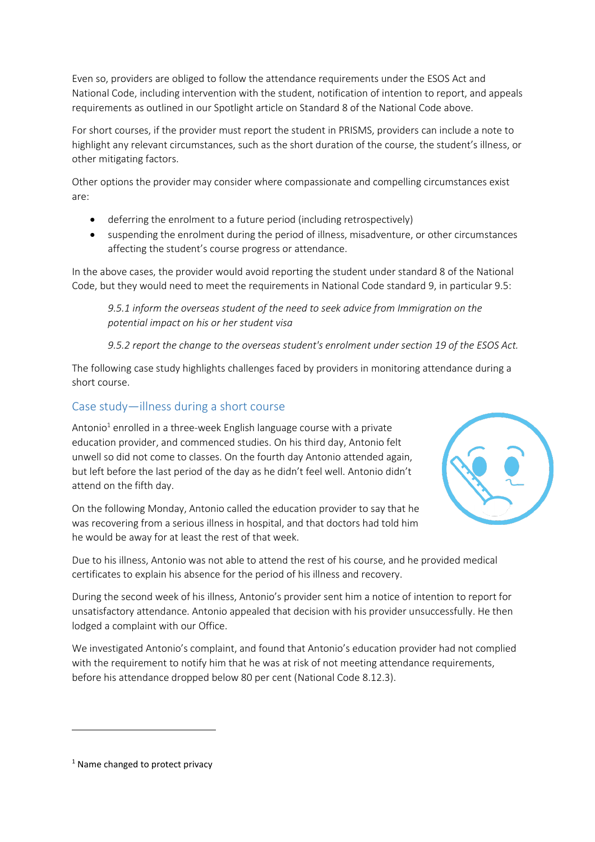Even so, providers are obliged to follow the attendance requirements under the ESOS Act and National Code, including intervention with the student, notification of intention to report, and appeals requirements as outlined in our Spotlight article on Standard 8 of the National Code above.

For short courses, if the provider must report the student in PRISMS, providers can include a note to highlight any relevant circumstances, such as the short duration of the course, the student's illness, or other mitigating factors.

Other options the provider may consider where compassionate and compelling circumstances exist are:

- deferring the enrolment to a future period (including retrospectively)
- suspending the enrolment during the period of illness, misadventure, or other circumstances affecting the student's course progress or attendance.

In the above cases, the provider would avoid reporting the student under standard 8 of the National Code, but they would need to meet the requirements in National Code standard 9, in particular 9.5:

*9.5.1 inform the overseas student of the need to seek advice from Immigration on the potential impact on his or her student visa*

*9.5.2 report the change to the overseas student's enrolment under section 19 of the ESOS Act.*

The following case study highlights challenges faced by providers in monitoring attendance during a short course.

## Case study—illness during a short course

Antonio<sup>1</sup> enrolled in a three-week English language course with a private education provider, and commenced studies. On his third day, Antonio felt unwell so did not come to classes. On the fourth day Antonio attended again, but left before the last period of the day as he didn't feel well. Antonio didn't attend on the fifth day.

On the following Monday, Antonio called the education provider to say that he was recovering from a serious illness in hospital, and that doctors had told him he would be away for at least the rest of that week.



Due to his illness, Antonio was not able to attend the rest of his course, and he provided medical certificates to explain his absence for the period of his illness and recovery.

During the second week of his illness, Antonio's provider sent him a notice of intention to report for unsatisfactory attendance. Antonio appealed that decision with his provider unsuccessfully. He then lodged a complaint with our Office.

We investigated Antonio's complaint, and found that Antonio's education provider had not complied with the requirement to notify him that he was at risk of not meeting attendance requirements, before his attendance dropped below 80 per cent (National Code 8.12.3).

1

<sup>&</sup>lt;sup>1</sup> Name changed to protect privacy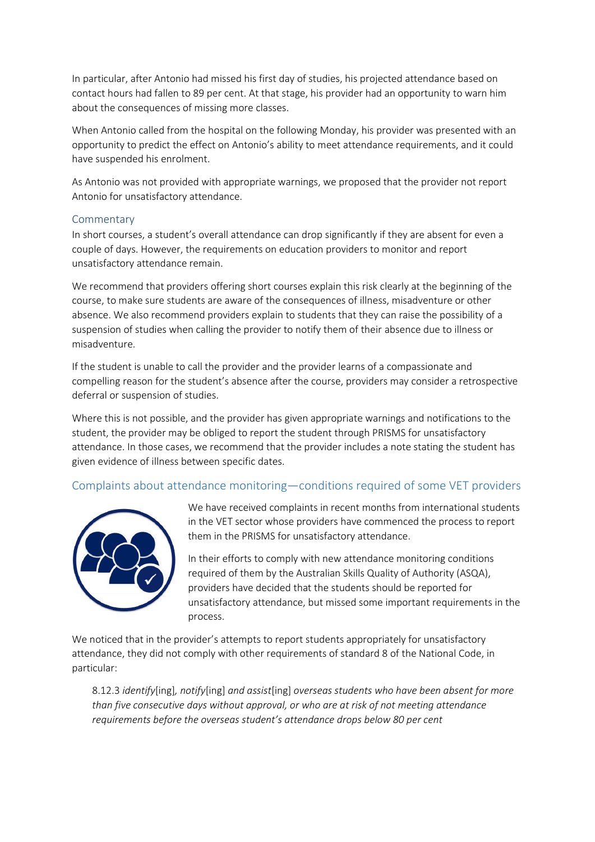In particular, after Antonio had missed his first day of studies, his projected attendance based on contact hours had fallen to 89 per cent. At that stage, his provider had an opportunity to warn him about the consequences of missing more classes.

When Antonio called from the hospital on the following Monday, his provider was presented with an opportunity to predict the effect on Antonio's ability to meet attendance requirements, and it could have suspended his enrolment.

As Antonio was not provided with appropriate warnings, we proposed that the provider not report Antonio for unsatisfactory attendance.

#### Commentary

In short courses, a student's overall attendance can drop significantly if they are absent for even a couple of days. However, the requirements on education providers to monitor and report unsatisfactory attendance remain.

We recommend that providers offering short courses explain this risk clearly at the beginning of the course, to make sure students are aware of the consequences of illness, misadventure or other absence. We also recommend providers explain to students that they can raise the possibility of a suspension of studies when calling the provider to notify them of their absence due to illness or misadventure.

If the student is unable to call the provider and the provider learns of a compassionate and compelling reason for the student's absence after the course, providers may consider a retrospective deferral or suspension of studies.

Where this is not possible, and the provider has given appropriate warnings and notifications to the student, the provider may be obliged to report the student through PRISMS for unsatisfactory attendance. In those cases, we recommend that the provider includes a note stating the student has given evidence of illness between specific dates.

## Complaints about attendance monitoring—conditions required of some VET providers



We have received complaints in recent months from international students in the VET sector whose providers have commenced the process to report them in the PRISMS for unsatisfactory attendance.

In their efforts to comply with new attendance monitoring conditions required of them by the Australian Skills Quality of Authority (ASQA), providers have decided that the students should be reported for unsatisfactory attendance, but missed some important requirements in the process.

We noticed that in the provider's attempts to report students appropriately for unsatisfactory attendance, they did not comply with other requirements of standard 8 of the National Code, in particular:

8.12.3 *identify*[ing]*, notify*[ing] *and assist*[ing] *overseas students who have been absent for more than five consecutive days without approval, or who are at risk of not meeting attendance requirements before the overseas student's attendance drops below 80 per cent*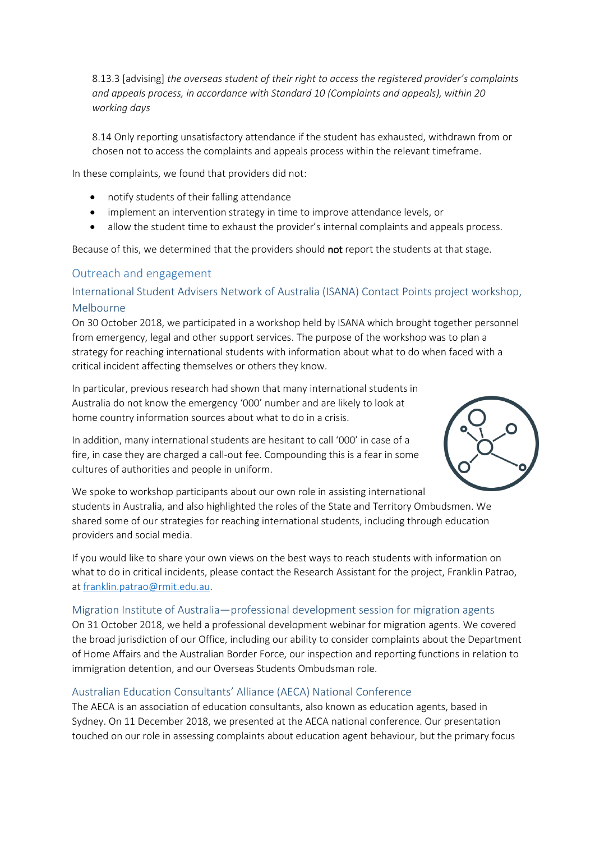8.13.3 [advising] *the overseas student of their right to access the registered provider's complaints and appeals process, in accordance with Standard 10 (Complaints and appeals), within 20 working days*

8.14 Only reporting unsatisfactory attendance if the student has exhausted, withdrawn from or chosen not to access the complaints and appeals process within the relevant timeframe.

In these complaints, we found that providers did not:

- notify students of their falling attendance
- implement an intervention strategy in time to improve attendance levels, or
- allow the student time to exhaust the provider's internal complaints and appeals process.

Because of this, we determined that the providers should not report the students at that stage.

## Outreach and engagement

## International Student Advisers Network of Australia (ISANA) Contact Points project workshop, Melbourne

On 30 October 2018, we participated in a workshop held by ISANA which brought together personnel from emergency, legal and other support services. The purpose of the workshop was to plan a strategy for reaching international students with information about what to do when faced with a critical incident affecting themselves or others they know.

In particular, previous research had shown that many international students in Australia do not know the emergency '000' number and are likely to look at home country information sources about what to do in a crisis.



In addition, many international students are hesitant to call '000' in case of a fire, in case they are charged a call-out fee. Compounding this is a fear in some cultures of authorities and people in uniform.

We spoke to workshop participants about our own role in assisting international students in Australia, and also highlighted the roles of the State and Territory Ombudsmen. We shared some of our strategies for reaching international students, including through education providers and social media.

If you would like to share your own views on the best ways to reach students with information on what to do in critical incidents, please contact the Research Assistant for the project, Franklin Patrao, at [franklin.patrao@rmit.edu.au.](mailto:franklin.patrao@rmit.edu.au)

#### Migration Institute of Australia—professional development session for migration agents

On 31 October 2018, we held a professional development webinar for migration agents. We covered the broad jurisdiction of our Office, including our ability to consider complaints about the Department of Home Affairs and the Australian Border Force, our inspection and reporting functions in relation to immigration detention, and our Overseas Students Ombudsman role.

### Australian Education Consultants' Alliance (AECA) National Conference

The AECA is an association of education consultants, also known as education agents, based in Sydney. On 11 December 2018, we presented at the AECA national conference. Our presentation touched on our role in assessing complaints about education agent behaviour, but the primary focus